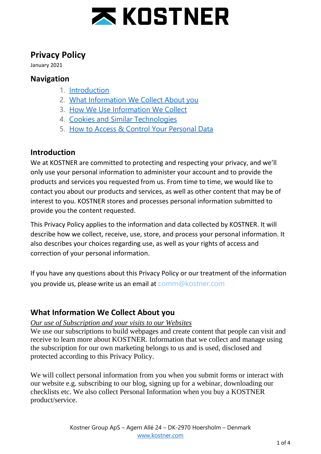

# **Privacy Policy**

January 2021

### **Navigation**

- 1. [Introduction](https://kostner.com/privacy-policy/#elementor-toc__heading-anchor-0)
- 2. What [Information](https://kostner.com/privacy-policy/#elementor-toc__heading-anchor-1) We Collect About you
- 3. How We Use [Information](https://kostner.com/privacy-policy/#elementor-toc__heading-anchor-2) We Collect
- 4. Cookies and Similar [Technologies](https://kostner.com/privacy-policy/#elementor-toc__heading-anchor-3)
- 5. How to Access & Control Your [Personal](https://kostner.com/privacy-policy/#elementor-toc__heading-anchor-4) Data

## **Introduction**

We at KOSTNER are committed to protecting and respecting your privacy, and we'll only use your personal information to administer your account and to provide the products and services you requested from us. From time to time, we would like to contact you about our products and services, as well as other content that may be of interest to you. KOSTNER stores and processes personal information submitted to provide you the content requested.

This Privacy Policy applies to the information and data collected by KOSTNER. It will describe how we collect, receive, use, store, and process your personal information. It also describes your choices regarding use, as well as your rights of access and correction of your personal information.

If you have any questions about this Privacy Policy or our treatment of the information you provide us, please write us an email at [comm@kostner.com](mailto:comm@kostner.com)

## **What Information We Collect About you**

### *Our use of Subscription and your visits to our Websites*

We use our subscriptions to build webpages and create content that people can visit and receive to learn more about KOSTNER. Information that we collect and manage using the subscription for our own marketing belongs to us and is used, disclosed and protected according to this Privacy Policy.

We will collect personal information from you when you submit forms or interact with our website e.g. subscribing to our blog, signing up for a webinar, downloading our checklists etc. We also collect Personal Information when you buy a KOSTNER product/service.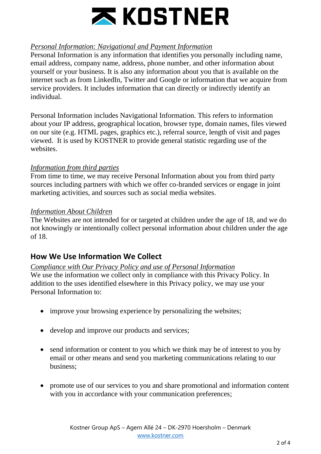

### *Personal Information: Navigational and Payment Information*

Personal Information is any information that identifies you personally including name, email address, company name, address, phone number, and other information about yourself or your business. It is also any information about you that is available on the internet such as from LinkedIn, Twitter and Google or information that we acquire from service providers. It includes information that can directly or indirectly identify an individual.

Personal Information includes Navigational Information. This refers to information about your IP address, geographical location, browser type, domain names, files viewed on our site (e.g. HTML pages, graphics etc.), referral source, length of visit and pages viewed. It is used by KOSTNER to provide general statistic regarding use of the websites

#### *Information from third parties*

From time to time, we may receive Personal Information about you from third party sources including partners with which we offer co-branded services or engage in joint marketing activities, and sources such as social media websites.

#### *Information About Children*

The Websites are not intended for or targeted at children under the age of 18, and we do not knowingly or intentionally collect personal information about children under the age of 18.

### **How We Use Information We Collect**

*Compliance with Our Privacy Policy and use of Personal Information* We use the information we collect only in compliance with this Privacy Policy. In addition to the uses identified elsewhere in this Privacy policy, we may use your Personal Information to:

- improve your browsing experience by personalizing the websites;
- develop and improve our products and services;
- send information or content to you which we think may be of interest to you by email or other means and send you marketing communications relating to our business;
- promote use of our services to you and share promotional and information content with you in accordance with your communication preferences;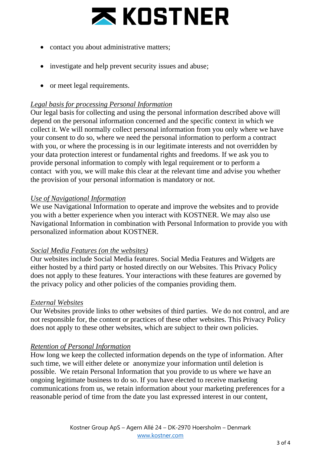

- contact you about administrative matters;
- investigate and help prevent security issues and abuse;
- or meet legal requirements.

### *Legal basis for processing Personal Information*

Our legal basis for collecting and using the personal information described above will depend on the personal information concerned and the specific context in which we collect it. We will normally collect personal information from you only where we have your consent to do so, where we need the personal information to perform a contract with you, or where the processing is in our legitimate interests and not overridden by your data protection interest or fundamental rights and freedoms. If we ask you to provide personal information to comply with legal requirement or to perform a contact with you, we will make this clear at the relevant time and advise you whether the provision of your personal information is mandatory or not.

#### *Use of Navigational Information*

We use Navigational Information to operate and improve the websites and to provide you with a better experience when you interact with KOSTNER. We may also use Navigational Information in combination with Personal Information to provide you with personalized information about KOSTNER.

#### *Social Media Features (on the websites)*

Our websites include Social Media features. Social Media Features and Widgets are either hosted by a third party or hosted directly on our Websites. This Privacy Policy does not apply to these features. Your interactions with these features are governed by the privacy policy and other policies of the companies providing them.

#### *External Websites*

Our Websites provide links to other websites of third parties. We do not control, and are not responsible for, the content or practices of these other websites. This Privacy Policy does not apply to these other websites, which are subject to their own policies.

### *Retention of Personal Information*

How long we keep the collected information depends on the type of information. After such time, we will either delete or anonymize your information until deletion is possible. We retain Personal Information that you provide to us where we have an ongoing legitimate business to do so. If you have elected to receive marketing communications from us, we retain information about your marketing preferences for a reasonable period of time from the date you last expressed interest in our content,